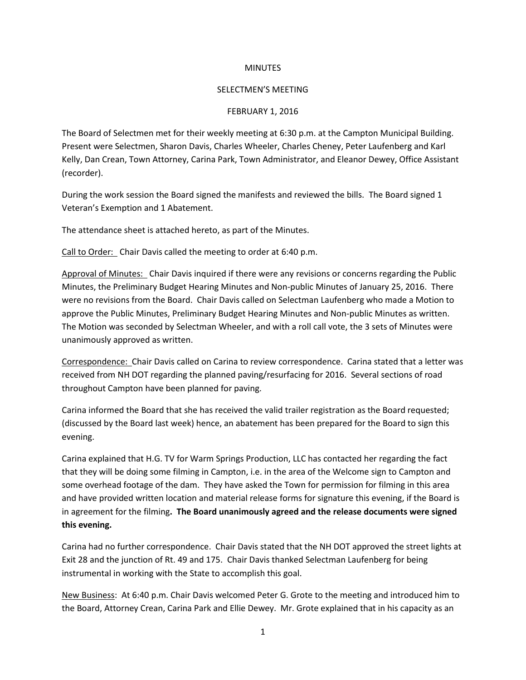## **MINUTES**

## SELECTMEN'S MEETING

## FEBRUARY 1, 2016

The Board of Selectmen met for their weekly meeting at 6:30 p.m. at the Campton Municipal Building. Present were Selectmen, Sharon Davis, Charles Wheeler, Charles Cheney, Peter Laufenberg and Karl Kelly, Dan Crean, Town Attorney, Carina Park, Town Administrator, and Eleanor Dewey, Office Assistant (recorder).

During the work session the Board signed the manifests and reviewed the bills. The Board signed 1 Veteran's Exemption and 1 Abatement.

The attendance sheet is attached hereto, as part of the Minutes.

Call to Order: Chair Davis called the meeting to order at 6:40 p.m.

Approval of Minutes: Chair Davis inquired if there were any revisions or concerns regarding the Public Minutes, the Preliminary Budget Hearing Minutes and Non-public Minutes of January 25, 2016. There were no revisions from the Board. Chair Davis called on Selectman Laufenberg who made a Motion to approve the Public Minutes, Preliminary Budget Hearing Minutes and Non-public Minutes as written. The Motion was seconded by Selectman Wheeler, and with a roll call vote, the 3 sets of Minutes were unanimously approved as written.

Correspondence: Chair Davis called on Carina to review correspondence. Carina stated that a letter was received from NH DOT regarding the planned paving/resurfacing for 2016. Several sections of road throughout Campton have been planned for paving.

Carina informed the Board that she has received the valid trailer registration as the Board requested; (discussed by the Board last week) hence, an abatement has been prepared for the Board to sign this evening.

Carina explained that H.G. TV for Warm Springs Production, LLC has contacted her regarding the fact that they will be doing some filming in Campton, i.e. in the area of the Welcome sign to Campton and some overhead footage of the dam. They have asked the Town for permission for filming in this area and have provided written location and material release forms for signature this evening, if the Board is in agreement for the filming**. The Board unanimously agreed and the release documents were signed this evening.** 

Carina had no further correspondence. Chair Davis stated that the NH DOT approved the street lights at Exit 28 and the junction of Rt. 49 and 175. Chair Davis thanked Selectman Laufenberg for being instrumental in working with the State to accomplish this goal.

New Business: At 6:40 p.m. Chair Davis welcomed Peter G. Grote to the meeting and introduced him to the Board, Attorney Crean, Carina Park and Ellie Dewey. Mr. Grote explained that in his capacity as an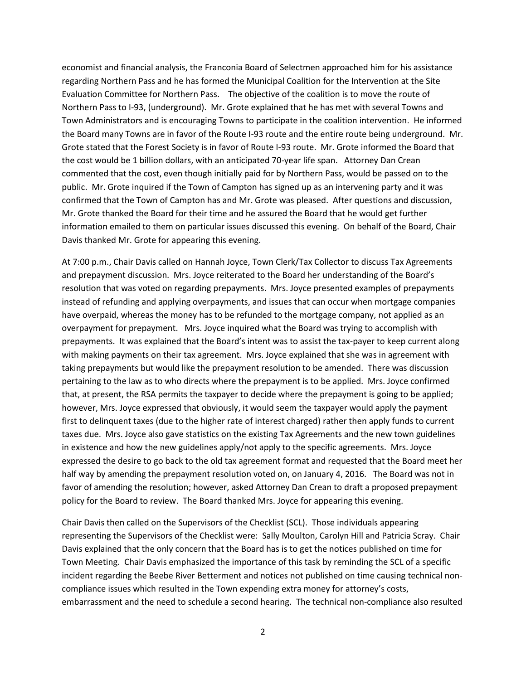economist and financial analysis, the Franconia Board of Selectmen approached him for his assistance regarding Northern Pass and he has formed the Municipal Coalition for the Intervention at the Site Evaluation Committee for Northern Pass. The objective of the coalition is to move the route of Northern Pass to I-93, (underground). Mr. Grote explained that he has met with several Towns and Town Administrators and is encouraging Towns to participate in the coalition intervention. He informed the Board many Towns are in favor of the Route I-93 route and the entire route being underground. Mr. Grote stated that the Forest Society is in favor of Route I-93 route. Mr. Grote informed the Board that the cost would be 1 billion dollars, with an anticipated 70-year life span. Attorney Dan Crean commented that the cost, even though initially paid for by Northern Pass, would be passed on to the public. Mr. Grote inquired if the Town of Campton has signed up as an intervening party and it was confirmed that the Town of Campton has and Mr. Grote was pleased. After questions and discussion, Mr. Grote thanked the Board for their time and he assured the Board that he would get further information emailed to them on particular issues discussed this evening. On behalf of the Board, Chair Davis thanked Mr. Grote for appearing this evening.

At 7:00 p.m., Chair Davis called on Hannah Joyce, Town Clerk/Tax Collector to discuss Tax Agreements and prepayment discussion. Mrs. Joyce reiterated to the Board her understanding of the Board's resolution that was voted on regarding prepayments. Mrs. Joyce presented examples of prepayments instead of refunding and applying overpayments, and issues that can occur when mortgage companies have overpaid, whereas the money has to be refunded to the mortgage company, not applied as an overpayment for prepayment. Mrs. Joyce inquired what the Board was trying to accomplish with prepayments. It was explained that the Board's intent was to assist the tax-payer to keep current along with making payments on their tax agreement. Mrs. Joyce explained that she was in agreement with taking prepayments but would like the prepayment resolution to be amended. There was discussion pertaining to the law as to who directs where the prepayment is to be applied. Mrs. Joyce confirmed that, at present, the RSA permits the taxpayer to decide where the prepayment is going to be applied; however, Mrs. Joyce expressed that obviously, it would seem the taxpayer would apply the payment first to delinquent taxes (due to the higher rate of interest charged) rather then apply funds to current taxes due. Mrs. Joyce also gave statistics on the existing Tax Agreements and the new town guidelines in existence and how the new guidelines apply/not apply to the specific agreements. Mrs. Joyce expressed the desire to go back to the old tax agreement format and requested that the Board meet her half way by amending the prepayment resolution voted on, on January 4, 2016. The Board was not in favor of amending the resolution; however, asked Attorney Dan Crean to draft a proposed prepayment policy for the Board to review. The Board thanked Mrs. Joyce for appearing this evening.

Chair Davis then called on the Supervisors of the Checklist (SCL). Those individuals appearing representing the Supervisors of the Checklist were: Sally Moulton, Carolyn Hill and Patricia Scray. Chair Davis explained that the only concern that the Board has is to get the notices published on time for Town Meeting. Chair Davis emphasized the importance of this task by reminding the SCL of a specific incident regarding the Beebe River Betterment and notices not published on time causing technical noncompliance issues which resulted in the Town expending extra money for attorney's costs, embarrassment and the need to schedule a second hearing. The technical non-compliance also resulted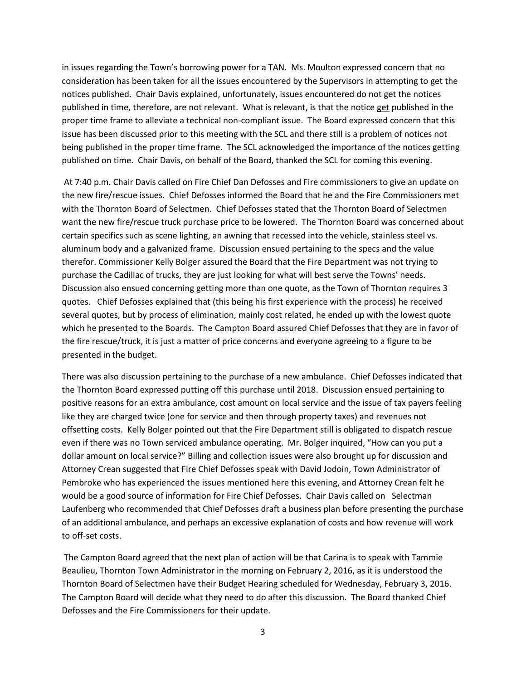in issues regarding the Town's borrowing power for a TAN. Ms. Moulton expressed concern that no consideration has been taken for all the issues encountered by the Supervisors in attempting to get the notices published. Chair Davis explained, unfortunately, issues encountered do not get the notices published in time, therefore, are not relevant. What is relevant, is that the notice get published in the proper time frame to alleviate a technical non-compliant issue. The Board expressed concern that this issue has been discussed prior to this meeting with the SCL and there still is a problem of notices not being published in the proper time frame. The SCL acknowledged the importance of the notices getting published on time. Chair Davis, on behalf of the Board, thanked the SCL for coming this evening.

At 7:40 p.m. Chair Davis called on Fire Chief Dan Defosses and Fire commissioners to give an update on the new fire/rescue issues. Chief Defosses informed the Board that he and the Fire Commissioners met with the Thornton Board of Selectmen. Chief Defosses stated that the Thornton Board of Selectmen want the new fire/rescue truck purchase price to be lowered. The Thornton Board was concerned about certain specifics such as scene lighting, an awning that recessed into the vehicle, stainless steel vs. aluminum body and a galvanized frame. Discussion ensued pertaining to the specs and the value therefor. Commissioner Kelly Bolger assured the Board that the Fire Department was not trying to purchase the Cadillac of trucks, they are just looking for what will best serve the Towns' needs. Discussion also ensued concerning getting more than one quote, as the Town of Thornton requires 3 quotes. Chief Defosses explained that (this being his first experience with the process) he received several quotes, but by process of elimination, mainly cost related, he ended up with the lowest quote which he presented to the Boards. The Campton Board assured Chief Defosses that they are in favor of the fire rescue/truck, it is just a matter of price concerns and everyone agreeing to a figure to be presented in the budget.

There was also discussion pertaining to the purchase of a new ambulance. Chief Defosses indicated that the Thornton Board expressed putting off this purchase until 2018. Discussion ensued pertaining to positive reasons for an extra ambulance, cost amount on local service and the issue of tax payers feeling like they are charged twice (one for service and then through property taxes) and revenues not offsetting costs. Kelly Bolger pointed out that the Fire Department still is obligated to dispatch rescue even if there was no Town serviced ambulance operating. Mr. Bolger inquired, "How can you put a dollar amount on local service?" Billing and collection issues were also brought up for discussion and Attorney Crean suggested that Fire Chief Defosses speak with David Jodoin, Town Administrator of Pembroke who has experienced the issues mentioned here this evening, and Attorney Crean felt he would be a good source of information for Fire Chief Defosses. Chair Davis called on Selectman Laufenberg who recommended that Chief Defosses draft a business plan before presenting the purchase of an additional ambulance, and perhaps an excessive explanation of costs and how revenue will work to off-set costs.

The Campton Board agreed that the next plan of action will be that Carina is to speak with Tammie Beaulieu, Thornton Town Administrator in the morning on February 2, 2016, as it is understood the Thornton Board of Selectmen have their Budget Hearing scheduled for Wednesday, February 3, 2016. The Campton Board will decide what they need to do after this discussion. The Board thanked Chief Defosses and the Fire Commissioners for their update.